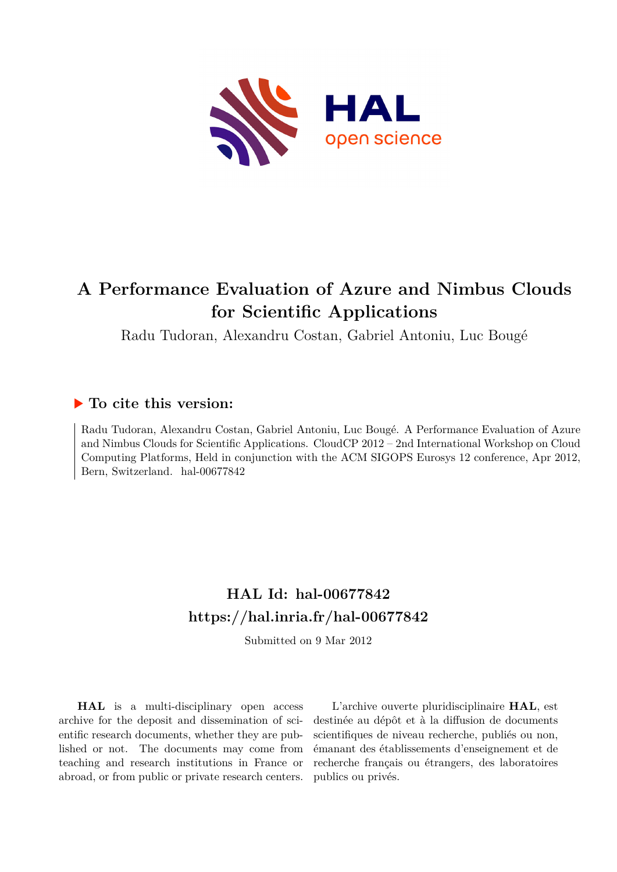

# **A Performance Evaluation of Azure and Nimbus Clouds for Scientific Applications**

Radu Tudoran, Alexandru Costan, Gabriel Antoniu, Luc Bougé

# **To cite this version:**

Radu Tudoran, Alexandru Costan, Gabriel Antoniu, Luc Bougé. A Performance Evaluation of Azure and Nimbus Clouds for Scientific Applications. CloudCP 2012 – 2nd International Workshop on Cloud Computing Platforms, Held in conjunction with the ACM SIGOPS Eurosys 12 conference, Apr 2012, Bern, Switzerland. hal-00677842

# **HAL Id: hal-00677842 <https://hal.inria.fr/hal-00677842>**

Submitted on 9 Mar 2012

**HAL** is a multi-disciplinary open access archive for the deposit and dissemination of scientific research documents, whether they are published or not. The documents may come from teaching and research institutions in France or abroad, or from public or private research centers.

L'archive ouverte pluridisciplinaire **HAL**, est destinée au dépôt et à la diffusion de documents scientifiques de niveau recherche, publiés ou non, émanant des établissements d'enseignement et de recherche français ou étrangers, des laboratoires publics ou privés.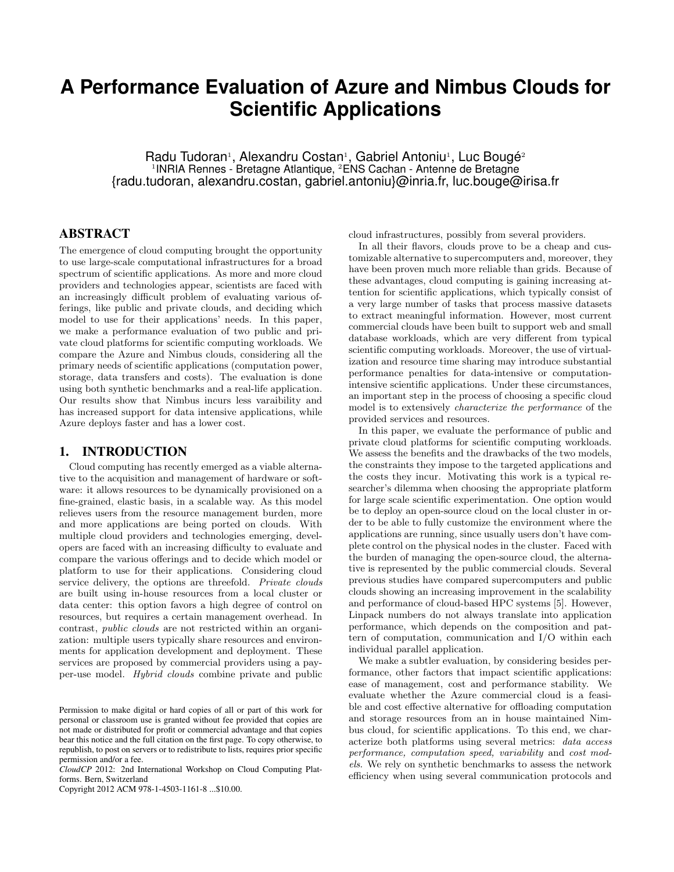# **A Performance Evaluation of Azure and Nimbus Clouds for Scientific Applications**

Radu Tudoran<sup>1</sup>, Alexandru Costan<sup>1</sup>, Gabriel Antoniu<sup>1</sup>, Luc Bougé<sup>2</sup> <sup>1</sup>INRIA Rennes - Bretagne Atlantique, <sup>2</sup>ENS Cachan - Antenne de Bretagne {radu.tudoran, alexandru.costan, gabriel.antoniu}@inria.fr, luc.bouge@irisa.fr

# ABSTRACT

The emergence of cloud computing brought the opportunity to use large-scale computational infrastructures for a broad spectrum of scientific applications. As more and more cloud providers and technologies appear, scientists are faced with an increasingly difficult problem of evaluating various offerings, like public and private clouds, and deciding which model to use for their applications' needs. In this paper, we make a performance evaluation of two public and private cloud platforms for scientific computing workloads. We compare the Azure and Nimbus clouds, considering all the primary needs of scientific applications (computation power, storage, data transfers and costs). The evaluation is done using both synthetic benchmarks and a real-life application. Our results show that Nimbus incurs less varaibility and has increased support for data intensive applications, while Azure deploys faster and has a lower cost.

# 1. INTRODUCTION

Cloud computing has recently emerged as a viable alternative to the acquisition and management of hardware or software: it allows resources to be dynamically provisioned on a fine-grained, elastic basis, in a scalable way. As this model relieves users from the resource management burden, more and more applications are being ported on clouds. With multiple cloud providers and technologies emerging, developers are faced with an increasing difficulty to evaluate and compare the various offerings and to decide which model or platform to use for their applications. Considering cloud service delivery, the options are threefold. Private clouds are built using in-house resources from a local cluster or data center: this option favors a high degree of control on resources, but requires a certain management overhead. In contrast, public clouds are not restricted within an organization: multiple users typically share resources and environments for application development and deployment. These services are proposed by commercial providers using a payper-use model. Hybrid clouds combine private and public

Copyright 2012 ACM 978-1-4503-1161-8 ...\$10.00.

cloud infrastructures, possibly from several providers.

In all their flavors, clouds prove to be a cheap and customizable alternative to supercomputers and, moreover, they have been proven much more reliable than grids. Because of these advantages, cloud computing is gaining increasing attention for scientific applications, which typically consist of a very large number of tasks that process massive datasets to extract meaningful information. However, most current commercial clouds have been built to support web and small database workloads, which are very different from typical scientific computing workloads. Moreover, the use of virtualization and resource time sharing may introduce substantial performance penalties for data-intensive or computationintensive scientific applications. Under these circumstances, an important step in the process of choosing a specific cloud model is to extensively characterize the performance of the provided services and resources.

In this paper, we evaluate the performance of public and private cloud platforms for scientific computing workloads. We assess the benefits and the drawbacks of the two models, the constraints they impose to the targeted applications and the costs they incur. Motivating this work is a typical researcher's dilemma when choosing the appropriate platform for large scale scientific experimentation. One option would be to deploy an open-source cloud on the local cluster in order to be able to fully customize the environment where the applications are running, since usually users don't have complete control on the physical nodes in the cluster. Faced with the burden of managing the open-source cloud, the alternative is represented by the public commercial clouds. Several previous studies have compared supercomputers and public clouds showing an increasing improvement in the scalability and performance of cloud-based HPC systems [5]. However, Linpack numbers do not always translate into application performance, which depends on the composition and pattern of computation, communication and I/O within each individual parallel application.

We make a subtler evaluation, by considering besides performance, other factors that impact scientific applications: ease of management, cost and performance stability. We evaluate whether the Azure commercial cloud is a feasible and cost effective alternative for offloading computation and storage resources from an in house maintained Nimbus cloud, for scientific applications. To this end, we characterize both platforms using several metrics: data access performance, computation speed, variability and cost models. We rely on synthetic benchmarks to assess the network efficiency when using several communication protocols and

Permission to make digital or hard copies of all or part of this work for personal or classroom use is granted without fee provided that copies are not made or distributed for profit or commercial advantage and that copies bear this notice and the full citation on the first page. To copy otherwise, to republish, to post on servers or to redistribute to lists, requires prior specific permission and/or a fee.

*CloudCP* 2012: 2nd International Workshop on Cloud Computing Platforms. Bern, Switzerland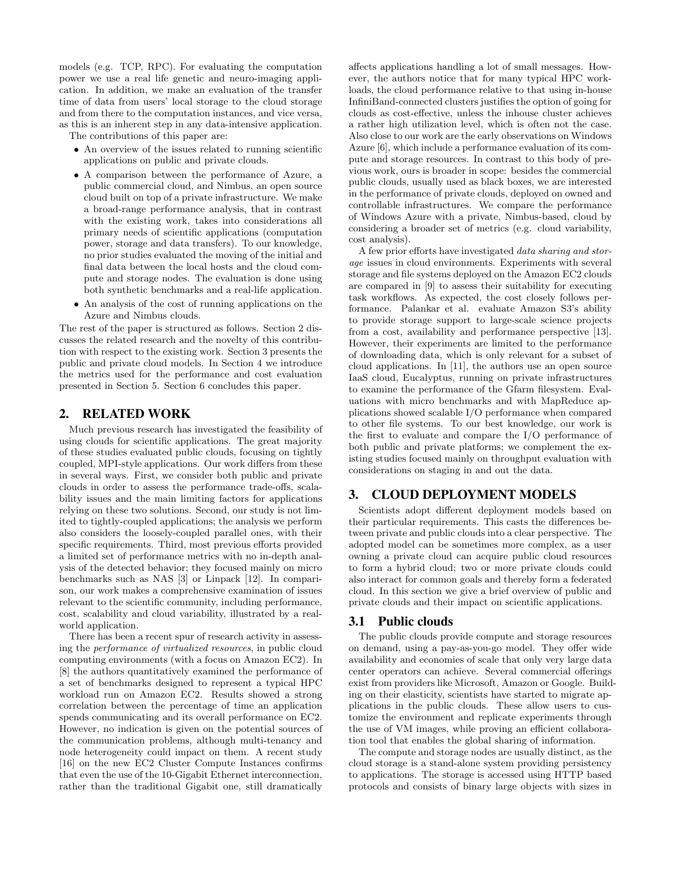models (e.g. TCP, RPC). For evaluating the computation power we use a real life genetic and neuro-imaging application. In addition, we make an evaluation of the transfer time of data from users' local storage to the cloud storage and from there to the computation instances, and vice versa, as this is an inherent step in any data-intensive application.

The contributions of this paper are:

- An overview of the issues related to running scientific applications on public and private clouds.
- A comparison between the performance of Azure, a public commercial cloud, and Nimbus, an open source cloud built on top of a private infrastructure. We make a broad-range performance analysis, that in contrast with the existing work, takes into considerations all primary needs of scientific applications (computation power, storage and data transfers). To our knowledge, no prior studies evaluated the moving of the initial and final data between the local hosts and the cloud compute and storage nodes. The evaluation is done using both synthetic benchmarks and a real-life application.
- An analysis of the cost of running applications on the Azure and Nimbus clouds.

The rest of the paper is structured as follows. Section 2 discusses the related research and the novelty of this contribution with respect to the existing work. Section 3 presents the public and private cloud models. In Section 4 we introduce the metrics used for the performance and cost evaluation presented in Section 5. Section 6 concludes this paper.

# 2. RELATED WORK

Much previous research has investigated the feasibility of using clouds for scientific applications. The great majority of these studies evaluated public clouds, focusing on tightly coupled, MPI-style applications. Our work differs from these in several ways. First, we consider both public and private clouds in order to assess the performance trade-offs, scalability issues and the main limiting factors for applications relying on these two solutions. Second, our study is not limited to tightly-coupled applications; the analysis we perform also considers the loosely-coupled parallel ones, with their specific requirements. Third, most previous efforts provided a limited set of performance metrics with no in-depth analysis of the detected behavior; they focused mainly on micro benchmarks such as NAS [3] or Linpack [12]. In comparison, our work makes a comprehensive examination of issues relevant to the scientific community, including performance, cost, scalability and cloud variability, illustrated by a realworld application.

There has been a recent spur of research activity in assessing the performance of virtualized resources, in public cloud computing environments (with a focus on Amazon EC2). In [8] the authors quantitatively examined the performance of a set of benchmarks designed to represent a typical HPC workload run on Amazon EC2. Results showed a strong correlation between the percentage of time an application spends communicating and its overall performance on EC2. However, no indication is given on the potential sources of the communication problems, although multi-tenancy and node heterogeneity could impact on them. A recent study [16] on the new EC2 Cluster Compute Instances confirms that even the use of the 10-Gigabit Ethernet interconnection, rather than the traditional Gigabit one, still dramatically

affects applications handling a lot of small messages. However, the authors notice that for many typical HPC workloads, the cloud performance relative to that using in-house InfiniBand-connected clusters justifies the option of going for clouds as cost-effective, unless the inhouse cluster achieves a rather high utilization level, which is often not the case. Also close to our work are the early observations on Windows Azure [6], which include a performance evaluation of its compute and storage resources. In contrast to this body of previous work, ours is broader in scope: besides the commercial public clouds, usually used as black boxes, we are interested in the performance of private clouds, deployed on owned and controllable infrastructures. We compare the performance of Windows Azure with a private, Nimbus-based, cloud by considering a broader set of metrics (e.g. cloud variability, cost analysis).

A few prior efforts have investigated data sharing and storage issues in cloud environments. Experiments with several storage and file systems deployed on the Amazon EC2 clouds are compared in [9] to assess their suitability for executing task workflows. As expected, the cost closely follows performance. Palankar et al. evaluate Amazon S3's ability to provide storage support to large-scale science projects from a cost, availability and performance perspective [13]. However, their experiments are limited to the performance of downloading data, which is only relevant for a subset of cloud applications. In [11], the authors use an open source IaaS cloud, Eucalyptus, running on private infrastructures to examine the performance of the Gfarm filesystem. Evaluations with micro benchmarks and with MapReduce applications showed scalable I/O performance when compared to other file systems. To our best knowledge, our work is the first to evaluate and compare the I/O performance of both public and private platforms; we complement the existing studies focused mainly on throughput evaluation with considerations on staging in and out the data.

# 3. CLOUD DEPLOYMENT MODELS

Scientists adopt different deployment models based on their particular requirements. This casts the differences between private and public clouds into a clear perspective. The adopted model can be sometimes more complex, as a user owning a private cloud can acquire public cloud resources to form a hybrid cloud; two or more private clouds could also interact for common goals and thereby form a federated cloud. In this section we give a brief overview of public and private clouds and their impact on scientific applications.

#### 3.1 Public clouds

The public clouds provide compute and storage resources on demand, using a pay-as-you-go model. They offer wide availability and economies of scale that only very large data center operators can achieve. Several commercial offerings exist from providers like Microsoft, Amazon or Google. Building on their elasticity, scientists have started to migrate applications in the public clouds. These allow users to customize the environment and replicate experiments through the use of VM images, while proving an efficient collaboration tool that enables the global sharing of information.

The compute and storage nodes are usually distinct, as the cloud storage is a stand-alone system providing persistency to applications. The storage is accessed using HTTP based protocols and consists of binary large objects with sizes in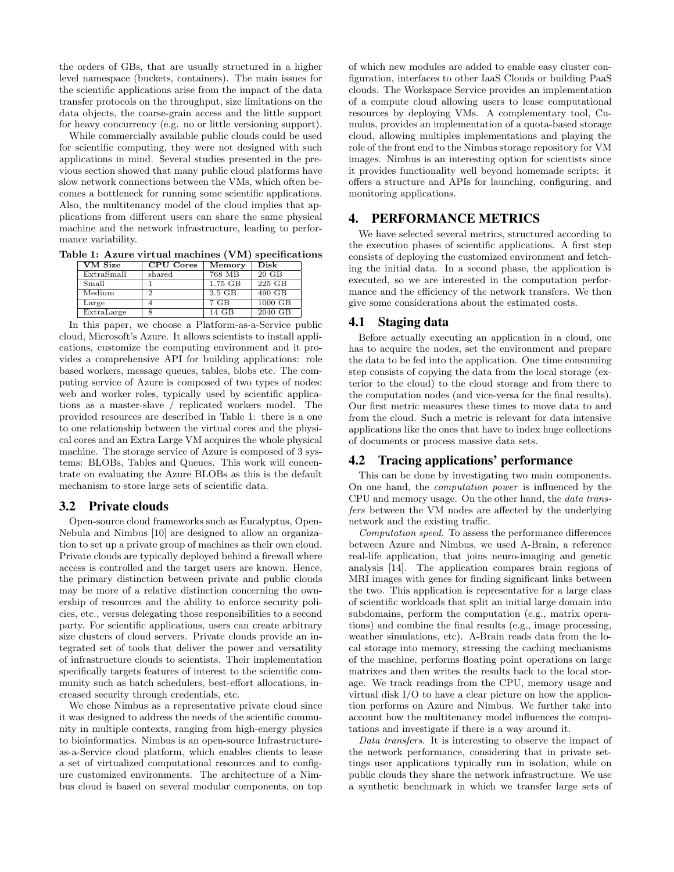the orders of GBs, that are usually structured in a higher level namespace (buckets, containers). The main issues for the scientific applications arise from the impact of the data transfer protocols on the throughput, size limitations on the data objects, the coarse-grain access and the little support for heavy concurrency (e.g. no or little versioning support).

While commercially available public clouds could be used for scientific computing, they were not designed with such applications in mind. Several studies presented in the previous section showed that many public cloud platforms have slow network connections between the VMs, which often becomes a bottleneck for running some scientific applications. Also, the multitenancy model of the cloud implies that applications from different users can share the same physical machine and the network infrastructure, leading to performance variability.

Table 1: Azure virtual machines (VM) specifications

| VM Size    | <b>CPU</b> Cores | Memory          | Disk            |
|------------|------------------|-----------------|-----------------|
| ExtraSmall | shared           | 768 MB          | $20 \text{ GB}$ |
| Small      |                  | $1.75$ GB       | 225 GB          |
| Medium     | $\overline{2}$   | $3.5$ GB        | 490 GB          |
| Large      |                  | 7 <sub>GB</sub> | $1000$ GB       |
| ExtraLarge | 8                | 14 GB           | 2040 GB         |

In this paper, we choose a Platform-as-a-Service public cloud, Microsoft's Azure. It allows scientists to install applications, customize the computing environment and it provides a comprehensive API for building applications: role based workers, message queues, tables, blobs etc. The computing service of Azure is composed of two types of nodes: web and worker roles, typically used by scientific applications as a master-slave / replicated workers model. The provided resources are described in Table 1: there is a one to one relationship between the virtual cores and the physical cores and an Extra Large VM acquires the whole physical machine. The storage service of Azure is composed of 3 systems: BLOBs, Tables and Queues. This work will concentrate on evaluating the Azure BLOBs as this is the default mechanism to store large sets of scientific data.

### 3.2 Private clouds

Open-source cloud frameworks such as Eucalyptus, Open-Nebula and Nimbus [10] are designed to allow an organization to set up a private group of machines as their own cloud. Private clouds are typically deployed behind a firewall where access is controlled and the target users are known. Hence, the primary distinction between private and public clouds may be more of a relative distinction concerning the ownership of resources and the ability to enforce security policies, etc., versus delegating those responsibilities to a second party. For scientific applications, users can create arbitrary size clusters of cloud servers. Private clouds provide an integrated set of tools that deliver the power and versatility of infrastructure clouds to scientists. Their implementation specifically targets features of interest to the scientific community such as batch schedulers, best-effort allocations, increased security through credentials, etc.

We chose Nimbus as a representative private cloud since it was designed to address the needs of the scientific community in multiple contexts, ranging from high-energy physics to bioinformatics. Nimbus is an open-source Infrastructureas-a-Service cloud platform, which enables clients to lease a set of virtualized computational resources and to configure customized environments. The architecture of a Nimbus cloud is based on several modular components, on top of which new modules are added to enable easy cluster configuration, interfaces to other IaaS Clouds or building PaaS clouds. The Workspace Service provides an implementation of a compute cloud allowing users to lease computational resources by deploying VMs. A complementary tool, Cumulus, provides an implementation of a quota-based storage cloud, allowing multiples implementations and playing the role of the front end to the Nimbus storage repository for VM images. Nimbus is an interesting option for scientists since it provides functionality well beyond homemade scripts: it offers a structure and APIs for launching, configuring, and monitoring applications.

# 4. PERFORMANCE METRICS

We have selected several metrics, structured according to the execution phases of scientific applications. A first step consists of deploying the customized environment and fetching the initial data. In a second phase, the application is executed, so we are interested in the computation performance and the efficiency of the network transfers. We then give some considerations about the estimated costs.

#### 4.1 Staging data

Before actually executing an application in a cloud, one has to acquire the nodes, set the environment and prepare the data to be fed into the application. One time consuming step consists of copying the data from the local storage (exterior to the cloud) to the cloud storage and from there to the computation nodes (and vice-versa for the final results). Our first metric measures these times to move data to and from the cloud. Such a metric is relevant for data intensive applications like the ones that have to index huge collections of documents or process massive data sets.

# 4.2 Tracing applications' performance

This can be done by investigating two main components. On one hand, the computation power is influenced by the CPU and memory usage. On the other hand, the data transfers between the VM nodes are affected by the underlying network and the existing traffic.

Computation speed. To assess the performance differences between Azure and Nimbus, we used A-Brain, a reference real-life application, that joins neuro-imaging and genetic analysis [14]. The application compares brain regions of MRI images with genes for finding significant links between the two. This application is representative for a large class of scientific workloads that split an initial large domain into subdomains, perform the computation (e.g., matrix operations) and combine the final results (e.g., image processing, weather simulations, etc). A-Brain reads data from the local storage into memory, stressing the caching mechanisms of the machine, performs floating point operations on large matrixes and then writes the results back to the local storage. We track readings from the CPU, memory usage and virtual disk I/O to have a clear picture on how the application performs on Azure and Nimbus. We further take into account how the multitenancy model influences the computations and investigate if there is a way around it.

Data transfers. It is interesting to observe the impact of the network performance, considering that in private settings user applications typically run in isolation, while on public clouds they share the network infrastructure. We use a synthetic benchmark in which we transfer large sets of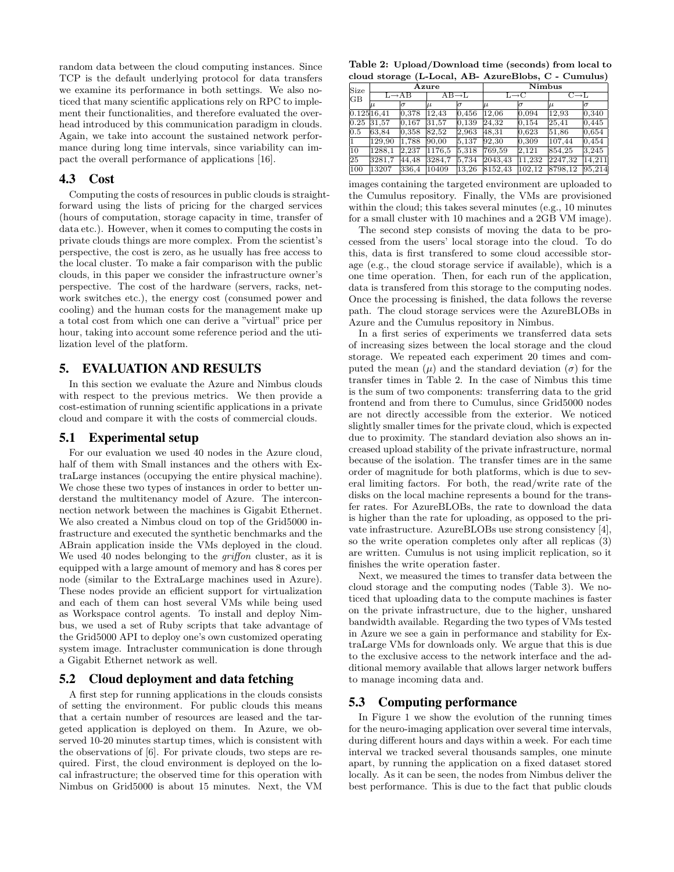random data between the cloud computing instances. Since TCP is the default underlying protocol for data transfers we examine its performance in both settings. We also noticed that many scientific applications rely on RPC to implement their functionalities, and therefore evaluated the overhead introduced by this communication paradigm in clouds. Again, we take into account the sustained network performance during long time intervals, since variability can impact the overall performance of applications [16].

### 4.3 Cost

Computing the costs of resources in public clouds is straightforward using the lists of pricing for the charged services (hours of computation, storage capacity in time, transfer of data etc.). However, when it comes to computing the costs in private clouds things are more complex. From the scientist's perspective, the cost is zero, as he usually has free access to the local cluster. To make a fair comparison with the public clouds, in this paper we consider the infrastructure owner's perspective. The cost of the hardware (servers, racks, network switches etc.), the energy cost (consumed power and cooling) and the human costs for the management make up a total cost from which one can derive a "virtual" price per hour, taking into account some reference period and the utilization level of the platform.

#### 5. EVALUATION AND RESULTS

In this section we evaluate the Azure and Nimbus clouds with respect to the previous metrics. We then provide a cost-estimation of running scientific applications in a private cloud and compare it with the costs of commercial clouds.

#### 5.1 Experimental setup

For our evaluation we used 40 nodes in the Azure cloud, half of them with Small instances and the others with ExtraLarge instances (occupying the entire physical machine). We chose these two types of instances in order to better understand the multitenancy model of Azure. The interconnection network between the machines is Gigabit Ethernet. We also created a Nimbus cloud on top of the Grid5000 infrastructure and executed the synthetic benchmarks and the ABrain application inside the VMs deployed in the cloud. We used 40 nodes belonging to the *griffon* cluster, as it is equipped with a large amount of memory and has 8 cores per node (similar to the ExtraLarge machines used in Azure). These nodes provide an efficient support for virtualization and each of them can host several VMs while being used as Workspace control agents. To install and deploy Nimbus, we used a set of Ruby scripts that take advantage of the Grid5000 API to deploy one's own customized operating system image. Intracluster communication is done through a Gigabit Ethernet network as well.

#### 5.2 Cloud deployment and data fetching

A first step for running applications in the clouds consists of setting the environment. For public clouds this means that a certain number of resources are leased and the targeted application is deployed on them. In Azure, we observed 10-20 minutes startup times, which is consistent with the observations of [6]. For private clouds, two steps are required. First, the cloud environment is deployed on the local infrastructure; the observed time for this operation with Nimbus on Grid5000 is about 15 minutes. Next, the VM

Table 2: Upload/Download time (seconds) from local to cloud storage (L-Local, AB- AzureBlobs, C - Cumulus)

| Size            |                    |       | Azure              |       | Nimbus                   |        |                  |          |  |  |
|-----------------|--------------------|-------|--------------------|-------|--------------------------|--------|------------------|----------|--|--|
| <b>GB</b>       | $L{\rightarrow}AB$ |       | $AB \rightarrow L$ |       | $_{\rm L \rightarrow C}$ |        | $C\rightarrow L$ |          |  |  |
|                 | μ                  |       | $\mu$              |       | $\mu$                    |        | μ                | $\sigma$ |  |  |
|                 | 0.12516.41         | 0.378 | 12.43              | 0,456 | 12.06                    | 0.094  | 12,93            | 0.340    |  |  |
| 0.25            | 31.57              | 0.167 | 31.57              | 0.139 | 24.32                    | 0.154  | 25,41            | 0.445    |  |  |
| $ 0.5\rangle$   | 63,84              | 0.358 | 82.52              | 2,963 | 48.31                    | 0.623  | 51,86            | 0.654    |  |  |
|                 | 129.90             | 1.788 | 90.00              | 5.137 | 92.30                    | 0,309  | 107.44           | 0.454    |  |  |
| $\overline{10}$ | 1288.1             | 2.237 | 1176.5             | 5,318 | 769.59                   | 2,121  | 854.25           | 3.245    |  |  |
| 25              | 3281.7             | 44.48 | 3284.7             | 5.734 | 2043.43                  | 11.232 | 2247.32          | 14.211   |  |  |
| 100             | 13207              | 336,4 | 10409              | 13.26 | 8152.43                  | 102.12 | 8798.12          | 95,214   |  |  |

images containing the targeted environment are uploaded to the Cumulus repository. Finally, the VMs are provisioned within the cloud; this takes several minutes (e.g., 10 minutes for a small cluster with 10 machines and a 2GB VM image).

The second step consists of moving the data to be processed from the users' local storage into the cloud. To do this, data is first transfered to some cloud accessible storage (e.g., the cloud storage service if available), which is a one time operation. Then, for each run of the application, data is transfered from this storage to the computing nodes. Once the processing is finished, the data follows the reverse path. The cloud storage services were the AzureBLOBs in Azure and the Cumulus repository in Nimbus.

In a first series of experiments we transferred data sets of increasing sizes between the local storage and the cloud storage. We repeated each experiment 20 times and computed the mean  $(\mu)$  and the standard deviation  $(\sigma)$  for the transfer times in Table 2. In the case of Nimbus this time is the sum of two components: transferring data to the grid frontend and from there to Cumulus, since Grid5000 nodes are not directly accessible from the exterior. We noticed slightly smaller times for the private cloud, which is expected due to proximity. The standard deviation also shows an increased upload stability of the private infrastructure, normal because of the isolation. The transfer times are in the same order of magnitude for both platforms, which is due to several limiting factors. For both, the read/write rate of the disks on the local machine represents a bound for the transfer rates. For AzureBLOBs, the rate to download the data is higher than the rate for uploading, as opposed to the private infrastructure. AzureBLOBs use strong consistency [4], so the write operation completes only after all replicas (3) are written. Cumulus is not using implicit replication, so it finishes the write operation faster.

Next, we measured the times to transfer data between the cloud storage and the computing nodes (Table 3). We noticed that uploading data to the compute machines is faster on the private infrastructure, due to the higher, unshared bandwidth available. Regarding the two types of VMs tested in Azure we see a gain in performance and stability for ExtraLarge VMs for downloads only. We argue that this is due to the exclusive access to the network interface and the additional memory available that allows larger network buffers to manage incoming data and.

# 5.3 Computing performance

In Figure 1 we show the evolution of the running times for the neuro-imaging application over several time intervals, during different hours and days within a week. For each time interval we tracked several thousands samples, one minute apart, by running the application on a fixed dataset stored locally. As it can be seen, the nodes from Nimbus deliver the best performance. This is due to the fact that public clouds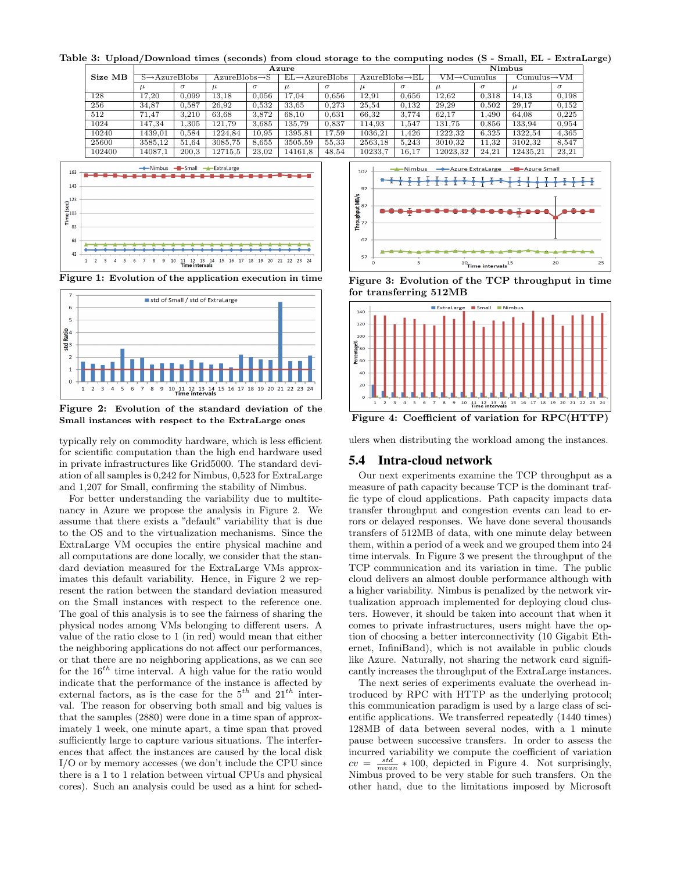|         | Azure                      |          |                            |          |                             |          |                            |          | <b>Nimbus</b>            |          |                          |          |
|---------|----------------------------|----------|----------------------------|----------|-----------------------------|----------|----------------------------|----------|--------------------------|----------|--------------------------|----------|
| Size MB | $S \rightarrow AzureBlobs$ |          | $AzureBlobs \rightarrow S$ |          | $EL \rightarrow AzureBlobs$ |          | $AzureBlobs\rightarrow EL$ |          | $VM \rightarrow$ Cumulus |          | $Cumulus \rightarrow VM$ |          |
|         |                            | $\sigma$ |                            | $\sigma$ | $\mu$                       | $\sigma$ |                            | $\sigma$ |                          | $\sigma$ |                          | $\sigma$ |
| 128     | 17.20                      | 0.099    | 13,18                      | 0,056    | 17.04                       | 0.656    | 12,91                      | 0.656    | 12.62                    | 0.318    | 14.13                    | 0.198    |
| 256     | 34.87                      | 0.587    | 26,92                      | 0.532    | 33.65                       | 0,273    | 25.54                      | 0.132    | 29.29                    | 0.502    | 29.17                    | 0.152    |
| 512     | 71.47                      | 3.210    | 63.68                      | 3.872    | 68.10                       | 0.631    | 66.32                      | 3.774    | 62.17                    | .490     | 64.08                    | 0.225    |
| 1024    | 147.34                     | .305     | 121.79                     | 3.685    | 135.79                      | 0.837    | 114.93                     | 1,547    | 131.75                   | 0.856    | 133.94                   | 0.954    |
| 10240   | 1439.01                    | 0.584    | 1224.84                    | 10.95    | 1395.81                     | 17,59    | 1036.21                    | .426     | 1222.32                  | 6.325    | 1322.54                  | 4.365    |
| 25600   | 3585.12                    | 51.64    | 3085.75                    | 8.655    | 3505.59                     | 55.33    | 2563.18                    | 5.243    | 3010.32                  | 11.32    | 3102.32                  | 8.547    |
| 102400  | 14087.1                    | 200.3    | 12715.5                    | 23.02    | 14161.8                     | 48.54    | 10233.7                    | 16.17    | 12023.32                 | 24.21    | 12435.21                 | 23.21    |

Table 3: Upload/Download times (seconds) from cloud storage to the computing nodes (S - Small, EL - ExtraLarge)



Figure 1: Evolution of the application execution in time



Figure 2: Evolution of the standard deviation of the Small instances with respect to the ExtraLarge ones

typically rely on commodity hardware, which is less efficient for scientific computation than the high end hardware used in private infrastructures like Grid5000. The standard deviation of all samples is 0,242 for Nimbus, 0,523 for ExtraLarge and 1,207 for Small, confirming the stability of Nimbus.

For better understanding the variability due to multitenancy in Azure we propose the analysis in Figure 2. We assume that there exists a "default" variability that is due to the OS and to the virtualization mechanisms. Since the ExtraLarge VM occupies the entire physical machine and all computations are done locally, we consider that the standard deviation measured for the ExtraLarge VMs approximates this default variability. Hence, in Figure 2 we represent the ration between the standard deviation measured on the Small instances with respect to the reference one. The goal of this analysis is to see the fairness of sharing the physical nodes among VMs belonging to different users. A value of the ratio close to 1 (in red) would mean that either the neighboring applications do not affect our performances, or that there are no neighboring applications, as we can see for the  $16^{th}$  time interval. A high value for the ratio would indicate that the performance of the instance is affected by external factors, as is the case for the  $5<sup>th</sup>$  and  $21<sup>th</sup>$  interval. The reason for observing both small and big values is that the samples (2880) were done in a time span of approximately 1 week, one minute apart, a time span that proved sufficiently large to capture various situations. The interferences that affect the instances are caused by the local disk I/O or by memory accesses (we don't include the CPU since there is a 1 to 1 relation between virtual CPUs and physical cores). Such an analysis could be used as a hint for sched-



Figure 3: Evolution of the TCP throughput in time for transferring 512MB



Figure 4: Coefficient of variation for RPC(HTTP)

ulers when distributing the workload among the instances.

### 5.4 Intra-cloud network

Our next experiments examine the TCP throughput as a measure of path capacity because TCP is the dominant traffic type of cloud applications. Path capacity impacts data transfer throughput and congestion events can lead to errors or delayed responses. We have done several thousands transfers of 512MB of data, with one minute delay between them, within a period of a week and we grouped them into 24 time intervals. In Figure 3 we present the throughput of the TCP communication and its variation in time. The public cloud delivers an almost double performance although with a higher variability. Nimbus is penalized by the network virtualization approach implemented for deploying cloud clusters. However, it should be taken into account that when it comes to private infrastructures, users might have the option of choosing a better interconnectivity (10 Gigabit Ethernet, InfiniBand), which is not available in public clouds like Azure. Naturally, not sharing the network card significantly increases the throughput of the ExtraLarge instances.

The next series of experiments evaluate the overhead introduced by RPC with HTTP as the underlying protocol; this communication paradigm is used by a large class of scientific applications. We transferred repeatedly (1440 times) 128MB of data between several nodes, with a 1 minute pause between successive transfers. In order to assess the incurred variability we compute the coefficient of variation  $cv = \frac{std}{mean} * 100$ , depicted in Figure 4. Not surprisingly, Nimbus proved to be very stable for such transfers. On the other hand, due to the limitations imposed by Microsoft